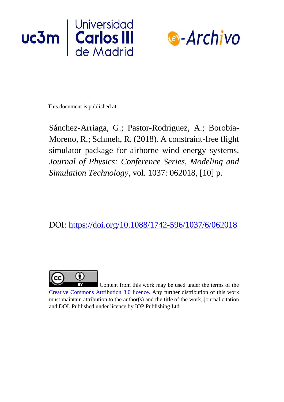



This document is published at:

Sánchez-Arriaga, G.; Pastor-Rodríguez, A.; Borobia-Moreno, R.; Schmeh, R. (2018). A constraint-free flight simulator package for airborne wind energy systems. *Journal of Physics: Conference Series, Modeling and Simulation Technology*, vol. 1037: 062018, [10] p.

DOI:<https://doi.org/10.1088/1742-596/1037/6/062018>



Content from this work may be used under the terms of the [Creative Commons Attribution 3.0 licence.](https://creativecommons.org/licenses/by/3.0/) Any further distribution of this work must maintain attribution to the author(s) and the title of the work, journal citation and DOI. Published under licence by IOP Publishing Ltd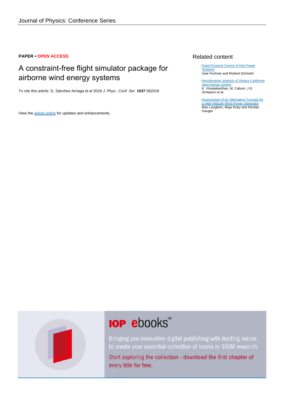# **PAPER • OPEN ACCESS**

# A constraint-free flight simulator package for airborne wind energy systems

To cite this article: G. Sánchez-Arriaga et al 2018 J. Phys.: Conf. Ser. **1037** 062018

View the [article online](https://doi.org/10.1088/1742-6596/1037/6/062018) for updates and enhancements.

# Related content

- [Feed-Forward Control of Kite Power](http://iopscience.iop.org/article/10.1088/1742-6596/524/1/012081) **[Systems](http://iopscience.iop.org/article/10.1088/1742-6596/524/1/012081)** Uwe Fechner and Roland Schmehl
- [Aerodynamic analysis of Ampyx's airborne](http://iopscience.iop.org/article/10.1088/1742-6596/1037/6/062008) [wind energy system](http://iopscience.iop.org/article/10.1088/1742-6596/1037/6/062008) K. Vimalakanthan, M. Caboni, J.G Schepers et al.
- [Assessment of an Alternative Concept for](http://iopscience.iop.org/article/10.1088/1742-6596/1037/4/042023) [a High-Altitude Wind-Power Generator](http://iopscience.iop.org/article/10.1088/1742-6596/1037/4/042023) Max Langbein, Maja Ruby and Nicolas Gauger -



# **IOP ebooks**™

Bringing you innovative digital publishing with leading voices to create your essential collection of books in STEM research.

Start exploring the collection - download the first chapter of every title for free.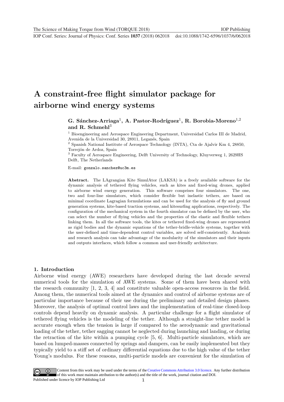# A constraint-free flight simulator package for airborne wind energy systems

# G. Sánchez-Arriaga<sup>1</sup>, A. Pastor-Rodríguez<sup>1</sup>, R. Borobia-Moreno<sup>1,2</sup> and R. Schmehl<sup>3</sup>

<sup>1</sup> Bioengineering and Aerospace Engineering Department, Universidad Carlos III de Madrid, Avenida de la Universidad 30, 28911, Leganés, Spain

 $^2$  Spanish National Institute of Aerospace Technology (INTA), Cta de Ajalvir Km 4, 28850, Torrejón de Ardoz, Spain

<sup>3</sup> Faculty of Aerospace Engineering, Delft University of Technology, Kluyverweg 1, 2629HS Delft, The Netherlands

E-mail: gonzalo.sanchez@uc3m.es

Abstract. The LAgrangian Kite SimulAtor (LAKSA) is a freely available software for the dynamic analysis of tethered flying vehicles, such as kites and fixed-wing drones, applied to airborne wind energy generation. This software comprises four simulators. The one, two and four-line simulators, which consider flexible but inelastic tethers, are based on minimal coordinate Lagragian formulations and can be used for the analysis of fly and ground generation systems, kite-based traction systems, and kitesurfing applications, respectively. The configuration of the mechanical system in the fourth simulator can be defined by the user, who can select the number of flying vehicles and the properties of the elastic and flexible tethers linking them. In all the software tools, the kites or tethered fixed-wing drones are represented as rigid bodies and the dynamic equations of the tether-bridle-vehicle systems, together with the user-defined and time-dependent control variables, are solved self-consistently. Academic and research analysis can take advantage of the modularity of the simulators and their inputs and outputs interfaces, which follow a common and user-friendly architecture.

#### 1. Introduction

Airborne wind energy (AWE) researchers have developed during the last decade several numerical tools for the simulation of AWE systems. Some of them have been shared with the research community [1, 2, 3, 4] and constitute valuable open-access resources in the field. Among them, the numeri[ca](#page-11-0)l [to](#page-11-1)[ols](#page-11-2) [a](#page-11-3)imed at the dynamics and control of airborne systems are of particular importance because of their use during the preliminary and detailed design phases. Moreover, the analysis of optimal control laws and the implementation of real-time closed-loop controls depend heavily on dynamic analysis. A particular challenge for a flight simulator of tethered flying vehicles is the modeling of the tether. Although a straight-line tether model is accurate enough when the tension is large if compared to the aerodynamic and gravitational loading of the tether, tether sagging cannot be neglected during launching and landing, or during the retraction of the kite within a pumping cycle [5, 6]. Multi-particle simulators, which are based on lumped-masses connected by springs and d[am](#page-11-4)[pe](#page-11-5)rs, can be easily implemented but they typically yield to a stiff set of ordinary differential equations due to the high value of the tether Young's modulus. For these reasons, multi-particle models are convenient for the simulation of

1 Content from this work may be used under the terms of the[Creative Commons Attribution 3.0 licence.](http://creativecommons.org/licenses/by/3.0) Any further distribution of this work must maintain attribution to the author(s) and the title of the work, journal citation and DOI. Published under licence by IOP Publishing Ltd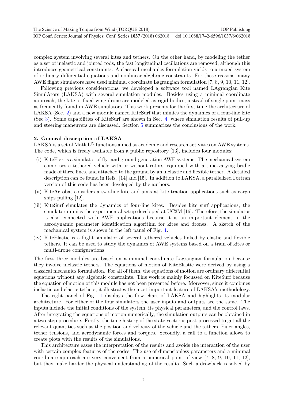The Science of Making Torque from Wind (TORQUE 2018) **IOP Publishing** IOP Publishing

**1234567890** ''"" IOP Conf. Series: Journal of Physics: Conf. Series **1037** (2018) 062018 doi :10.1088/1742-6596/1037/6/062018

complex system involving several kites and tethers. On the other hand, by modeling the tether as a set of inelastic and jointed rods, the fast longitudinal oscillations are removed, although this introduces geometrical constraints. A classical mechanics formulation yields to a mixed system of ordinary differential equations and nonlinear algebraic constraints. For these reasons, many AWE flight simulators have used minimal coordinate Lagrangian formulation [\[7,](#page-11-6) [8,](#page-11-7) [9,](#page-11-8) [10,](#page-11-9) [11,](#page-11-10) [12\]](#page-11-11).

Following previous considerations, we developed a software tool named LAgrangian Kite SimulAtors (LAKSA) with several simulation modules. Besides using a minimal coordinate approach, the kite or fixed-wing drone are modeled as rigid bodies, instead of single point mass as frequently found in AWE simulators. This work presents for the first time the architecture of LAKSA (Sec. [2\)](#page-3-0) and a new module named KiteSurf that mimics the dynamics of a four-line kite (Sec [3\)](#page-5-0). Some capabilities of KiteSurf are shown in Sec. [4,](#page-8-0) where simulation results of pull-up and steering maneuvers are discussed. Section [5](#page-9-0) summarizes the conclusions of the work.

#### <span id="page-3-0"></span>2. General description of LAKSA

LAKSA is a set of Matlab<sup>®</sup> functions aimed at academic and research activities on AWE systems. The code, which is freely available from a public repository [\[13\]](#page-11-12), includes four modules:

- (i) KiteFlex is a simulator of fly- and ground-generation AWE systems. The mechanical system comprises a tethered vehicle with or without rotors, equipped with a time-varying bridle made of three lines, and attached to the ground by an inelastic and flexible tether. A detailed description can be found in Refs. [\[14\]](#page-11-13) and [\[15\]](#page-11-14). In addition to LAKSA, a parallelized Fortran version of this code has been developed by the authors.
- (ii) KiteAcrobat considers a two-line kite and aims at kite traction applications such as cargo ships pulling [\[12\]](#page-11-11).
- (iii) KiteSurf simulates the dynamics of four-line kites. Besides kite surf applications, the simulator mimics the experimental setup developed at UC3M [\[16\]](#page-11-15). Therefore, the simulator is also connected with AWE applications because it is an important element in the aerodynamic parameter identification algorithm for kites and drones. A sketch of the mechanical system is shown in the left panel of Fig. [1.](#page-4-0)
- (iv) KiteElastic is a flight simulator of several tethered vehicles linked by elastic and flexible tethers. It can be used to study the dynamics of AWE systems based on a train of kites or multi-drone configurations.

The first three modules are based on a minimal coordinate Lagrangian formulation because they involve inelastic tethers. The equations of motion of KiteElastic were derived by using a classical mechanics formulation. For all of them, the equations of motion are ordinary differential equations without any algebraic constraints. This work is mainly focussed on KiteSurf because the equation of motion of this module has not been presented before. Moreover, since it combines inelastic and elastic tethers, it illustrates the most important feature of LAKSA's methodology.

The right panel of Fig. [1](#page-4-0) displays the flow chart of LAKSA and highlights its modular architecture. For either of the four simulators the user inputs and outputs are the same. The inputs include the initial conditions of the system, its physical parameters, and the control laws. After integrating the equations of motion numerically, the simulation outputs can be obtained in a two-step procedure. Firstly, the time history of the state vector is post-processed to get all the relevant quantities such as the position and velocity of the vehicle and the tethers, Euler angles, tether tensions, and aerodynamic forces and torques. Secondly, a call to a function allows to create plots with the results of the simulations.

This architecture eases the interpretation of the results and avoids the interaction of the user with certain complex features of the codes. The use of dimensionless parameters and a minimal coordinate approach are very convenient from a numerical point of view [\[7,](#page-11-6) [8,](#page-11-7) [9,](#page-11-8) [10,](#page-11-9) [11,](#page-11-10) [12\]](#page-11-11), but they make harder the physical understanding of the results. Such a drawback is solved by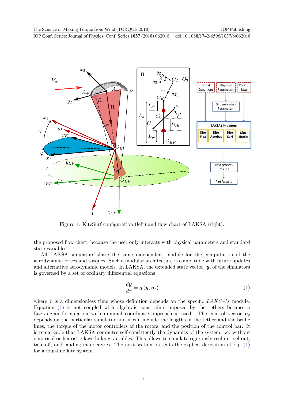<span id="page-4-0"></span>

Figure 1: KiteSurf configuration (left) and flow chart of LAKSA (right).

the proposed flow chart, because the user only interacts with physical parameters and standard state variables.

All LAKSA simulators share the same independent module for the computation of the aerodynamic forces and torques. Such a modular architecture is compatible with future updates and alternative aerodynamic models. In LAKSA, the extended state vector,  $y$ , of the simulators is governed by a set of ordinary differential equations

<span id="page-4-1"></span>
$$
\frac{d\mathbf{y}}{d\tau} = \mathbf{g}\left(\mathbf{y}, \mathbf{u}_c\right) \tag{1}
$$

where  $\tau$  is a dimensionless time whose definition depends on the specific  $LAKSA's$  module. Equation [\(1\)](#page-4-1) is not coupled with algebraic constraints imposed by the tethers because a Lagrangian formulation with minimal coordinate approach is used. The control vector  $u_c$ depends on the particular simulator and it can include the lengths of the tether and the bridle lines, the torque of the motor controllers of the rotors, and the position of the control bar. It is remarkable that LAKSA computes self-consistently the dynamics of the system, i.e. without empirical or heuristic laws linking variables. This allows to simulate rigorously reel-in, reel-out, take-off, and landing manoeuvres. The next section presents the explicit derivation of Eq. [\(1\)](#page-4-1) for a four-line kite system.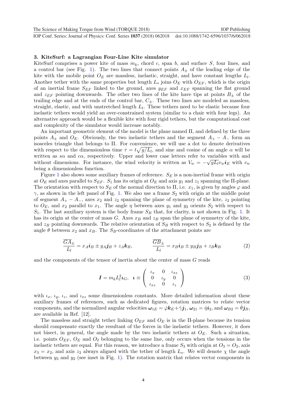#### <span id="page-5-0"></span>3. KiteSurf: a Lagrangian Four-Line Kite simulator

KiteSurf comprises a power kite of mass  $m_k$ , chord c, span b, and surface S, four lines, and a control bar (see Fig. [1\)](#page-4-0). The two lines that connect points  $A_{\pm}$  of the leading edge of the kite with the mobile point  $O_E$  are massless, inelastic, straight, and have constant lengths  $L_l$ . Another tether with the same properties but length  $L_s$  joins  $O_E$  with  $O_{EF}$ , which is the origin of an inertial frame  $S_{EF}$  linked to the ground, axes  $y_{EF}$  and  $x_{EF}$  spanning the flat ground and  $z_{EF}$  pointing downwards. The other two lines of the kite have tips at points  $B_{\pm}$  of the trailing edge and at the ends of the control bar,  $C_{\pm}$ . These two lines are modeled as massless, straight, elastic, and with unstretched length  $L_t$ . These tethers need to be elastic because four inelastic tethers would yield an over-constrained system (similar to a chair with four legs). An alternative approach would be a flexible kite with four rigid tethers, but the computational cost and complexity of the simulator would increase notably.

An important geometric element of the model is the plane named Π, and defined by the three points  $A_{\pm}$  and  $O_E$ . Obviously, the two inelastic tethers and the segment  $A_{+} - A_{-}$  form an isosceles triangle that belongs to Π. For convenience, we will use a dot to denote derivatives with respect to the dimensionless time  $\tau = t\sqrt{g/L_i}$ , and sine and cosine of an angle  $\alpha$  will be written as s $\alpha$  and  $c\alpha$ , respectively. Upper and lower case letters refer to variables with and without dimensions. For instance, the wind velocity is written as  $V_w = -\sqrt{gL_l}v_w i_E$  with  $v_w$ being a dimensionless function.

Figure [1](#page-4-0) also shows some auxiliary frames of reference.  $S_F$  is a non-inertial frame with origin at  $O_E$  and axes parallel to  $S_{EF}$ .  $S_1$  has its origin at  $O_E$  and axis  $y_1$  and  $z_1$  spanning the II-plane. The orientation with respect to  $S_E$  of the normal direction to  $\Pi$ , i.e.  $x_1$ , is given by angles  $\varphi$  and  $\gamma$ , as shown in the left panel of Fig. [1.](#page-4-0) We also use a frame  $S_2$  with origin at the middle point of segment  $A_+ - A_-,$  axes  $x_2$  and  $z_2$  spanning the plane of symmetry of the kite,  $z_2$  pointing to  $O_E$ , and  $x_2$  parallel to  $x_1$ . The angle  $\eta$  between axes  $y_1$  and  $y_2$  orients  $S_2$  with respect to  $S_1$ . The last auxiliary system is the body frame  $S_B$  that, for clarity, is not shown in Fig. [1.](#page-4-0) It has its origin at the center of mass G. Axes  $x_B$  and  $z_B$  span the plane of symmetry of the kite, and  $z_B$  pointing downwards. The relative orientation of  $S_B$  with respect to  $S_2$  is defined by the angle  $\theta$  between  $x_2$  and  $x_B$ . The  $S_B$ -coordinates of the attachment points are

$$
\frac{\overline{GA}_{\pm}}{L_l} = x_A \mathbf{i}_B \pm y_A \mathbf{j}_B + z_A \mathbf{k}_B, \qquad \qquad \frac{\overline{GB}_{\pm}}{L_l} = x_B \mathbf{i}_B \pm y_B \mathbf{j}_B + z_B \mathbf{k}_B \tag{2}
$$

and the components of the tensor of inertia about the center of mass G reads

$$
\boldsymbol{I} = m_k L_l^2 \boldsymbol{\iota}_G, \quad \boldsymbol{\iota} \equiv \left( \begin{array}{ccc} \iota_x & 0 & \iota_{xz} \\ 0 & \iota_y & 0 \\ \iota_{xz} & 0 & \iota_z \end{array} \right) \tag{3}
$$

with  $\iota_x$ ,  $\iota_y$ ,  $\iota_z$ , and  $\iota_{xz}$  some dimensionless constants. More detailed information about these auxiliary frames of references, such as dedicated figures, rotation matrices to relate vector components, and the normalized angular velocities  $\omega_{1E} = \dot{\varphi} k_E + \dot{\gamma} j_1$ ,  $\omega_{21} = \dot{\eta} i_2$ , and  $\omega_{B2} = \theta j_B$ , are available in Ref. [\[12\]](#page-11-11).

The massless and straight tether linking  $O_{EF}$  and  $O_{E}$  is in the II-plane because its tension should compensate exactly the resultant of the forces in the inelastic tethers. However, it does not bisect, in general, the angle made by the two inelastic tethers at  $O<sub>E</sub>$ . Such a situation, i.e. points  $O_{EF}$ ,  $O_E$  and  $O_2$  belonging to the same line, only occurs when the tensions in the inelastic tethers are equal. For this reason, we introduce a frame  $S_3$  with origin at  $O_3 = O_2$ , axis  $x_3 = x_2$ , and axis  $z_3$  always aligned with the tether of length  $L_s$ . We will denote  $\chi$  the angle between  $y_3$  and  $y_2$  (see inset in Fig. [1\)](#page-4-0). The rotation matrix that relates vector components in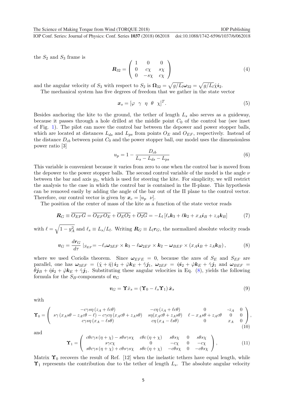the  $S_2$  and  $S_3$  frame is

$$
\boldsymbol{R}_{32} = \left(\begin{array}{ccc} 1 & 0 & 0 \\ 0 & c\chi & s\chi \\ 0 & -s\chi & c\chi \end{array}\right) \tag{4}
$$

and the angular velocity of  $S_3$  with respect to  $S_2$  is  $\mathbf{\Omega}_{32} = \sqrt{g/L_l} \omega_{32} = \sqrt{g/L_l} \chi \mathbf{i}_2$ .

The mechanical system has five degrees of freedom that we gather in the state vector

$$
\boldsymbol{x}_s = [\varphi \ \ \gamma \ \ \eta \ \ \theta \ \ \chi]^T. \tag{5}
$$

Besides anchoring the kite to the ground, the tether of length  $L_s$  also serves as a guideway, because it passes through a hole drilled at the middle point  $C_0$  of the control bar (see inset of Fig. [1\)](#page-4-0). The pilot can move the control bar between the depower and power stopper balls, which are located at distances  $L_{ds}$  and  $L_{ps}$  from points  $O_E$  and  $O_{EF}$ , respectively. Instead of the distance  $D_{cb}$  between point  $C_0$  and the power stopper ball, our model uses the dimensionless power ratio [\[3\]](#page-11-2)

$$
u_p = 1 - \frac{D_{cb}}{L_s - L_{ds} - L_{ps}}\tag{6}
$$

This variable is convenient because it varies from zero to one when the control bar is moved from the depower to the power stopper balls. The second control variable of the model is the angle  $\nu$ between the bar and axis  $y_3$ , which is used for steering the kite. For simplicity, we will restrict the analysis to the case in which the control bar is contained in the Π-plane. This hypothesis can be removed easily by adding the angle of the bar out of the  $\Pi$  plane to the control vector. Therefore, our control vector is given by  $x_c = [u_p \ \nu]$ .

The position of the center of mass of the kite as a function of the state vector reads

$$
\boldsymbol{R}_G \equiv \overline{O_{EF}G} = \overline{O_{EF}O_E} + \overline{O_EO_2} + \overline{O_2G} = -L_l [l_s\boldsymbol{k}_3 + l\boldsymbol{k}_2 + x_A\boldsymbol{i}_B + z_A\boldsymbol{k}_B]
$$
(7)

with  $\ell = \sqrt{1 - y_A^2}$  and  $\ell_s \equiv L_s/L_l$ . Writing  $\mathbf{R}_G \equiv L_l \mathbf{r}_G$ , the normalized absolute velocity reads

<span id="page-6-0"></span>
$$
\boldsymbol{v}_G = \frac{dr_G}{d\tau} \mid_{S_{EF}} = -\ell_s \boldsymbol{\omega}_{3EF} \times \boldsymbol{k}_3 - \ell \boldsymbol{\omega}_{2EF} \times \boldsymbol{k}_2 - \boldsymbol{\omega}_{BEF} \times (x_A \boldsymbol{i}_B + z_A \boldsymbol{k}_B), \tag{8}
$$

where we used Coriolis theorem. Since  $\omega_{EFE} = 0$ , because the axes of  $S_E$  and  $S_{EF}$  are parallel, one has  $\omega_{3EF} = (\dot{\chi} + \dot{\eta}) \dot{\mathbf{i}}_2 + \dot{\varphi} \dot{\mathbf{k}}_E + \dot{\gamma} \dot{\mathbf{j}}_1$ ,  $\omega_{2EF} = \dot{\eta} \dot{\mathbf{i}}_2 + \dot{\varphi} \dot{\mathbf{k}}_E + \dot{\gamma} \dot{\mathbf{j}}_1$  and  $\omega_{BEF} =$  $\dot{\theta}j_B + \dot{\eta}i_2 + \dot{\varphi}k_E + \dot{\gamma}j_1$ . Substituting these angular velocities in Eq. [\(8\)](#page-6-0), yields the following formula for the  $S_B$ -components of  $v_G$ 

<span id="page-6-1"></span>
$$
\boldsymbol{v}_G = \mathbf{\hat{T}} \dot{x}_s = (\mathbf{\hat{T}}_0 - \ell_s \mathbf{\hat{T}}_1) \dot{\boldsymbol{x}}_s \tag{9}
$$

with

$$
\Upsilon_0 = \begin{pmatrix}\n-c\gamma s \eta (z_A + \ell c \theta) & -c \eta (z_A + \ell c \theta) & 0 & -z_A & 0 \\
s \gamma (x_A s \theta - z_A c \theta - \ell) - c \gamma c \eta (x_A c \theta + z_A s \theta) & s \eta (x_A c \theta + z_A s \theta) & \ell - x_A s \theta + z_A c \theta & 0 & 0 \\
c \gamma s \eta (x_A - \ell s \theta) & c \eta (x_A - \ell s \theta) & 0 & x_A & 0\n\end{pmatrix},
$$
\n(10)

and

$$
\Upsilon_1 = \begin{pmatrix} c\theta c\gamma s \left(\eta + \chi\right) - s\theta s\gamma s\chi & c\theta c \left(\eta + \chi\right) & s\theta s\chi & 0 & s\theta s\chi \\ s\gamma c\chi & 0 & -c\chi & 0 & -c\chi \\ s\theta c\gamma s \left(\eta + \chi\right) + c\theta s\gamma s\chi & s\theta c \left(\eta + \chi\right) & -c\theta s\chi & 0 & -c\theta s\chi \end{pmatrix},
$$
(11)

Matrix  $\Upsilon_0$  recovers the result of Ref. [\[12\]](#page-11-11) when the inelastic tethers have equal length, while  $\Upsilon_1$  represents the contribution due to the tether of length  $L_s$ . The absolute angular velocity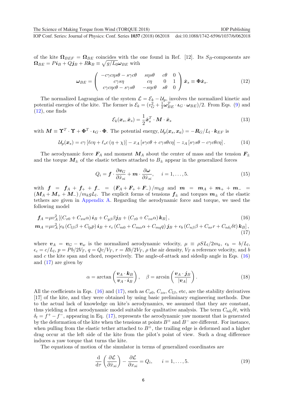of the kite  $\Omega_{BEF} = \Omega_{BE}$  coincides with the one found in Ref. [\[12\]](#page-11-11). Its S<sub>B</sub>-components are  $\boldsymbol{\Omega}_{BE} = P\boldsymbol{i}_{B} + Q\boldsymbol{j}_{B} + R\boldsymbol{k}_{B} \equiv \sqrt{g/L_0} \boldsymbol{\omega}_{BE} \text{ with }$ 

<span id="page-7-0"></span>
$$
\omega_{BE} = \begin{pmatrix} -c\gamma c\eta s\theta - s\gamma c\theta & s\eta s\theta & c\theta & 0\\ c\gamma s\eta & c\eta & 0 & 1\\ c\gamma c\eta c\theta - s\gamma s\theta & -s\eta c\theta & s\theta & 0 \end{pmatrix} \dot{\boldsymbol{x}}_s \equiv \boldsymbol{\Phi}\dot{\boldsymbol{x}}_s.
$$
 (12)

The normalized Lagrangian of the system  $\mathcal{L} = \mathcal{E}_k - \mathcal{U}_p$ , involves the normalized kinetic and potential energies of the kite. The former is  $\mathcal{E}_k = (v_G^2 + \frac{1}{2}\omega_{BE}^T \cdot \mathbf{L}_G \cdot \omega_{BE})/2$ . From Eqs. [\(9\)](#page-6-1) and  $(12)$ , one finds

$$
\mathcal{E}_k(\boldsymbol{x}_s, \dot{\boldsymbol{x}}_s) = \frac{1}{2} \dot{\boldsymbol{x}}_s^T \cdot \boldsymbol{M} \cdot \dot{\boldsymbol{x}}_s \tag{13}
$$

with  $M \equiv \Upsilon^T \cdot \Upsilon + \Phi^T \cdot \iota_G \cdot \Phi$ . The potential energy,  $\mathcal{U}_p(\boldsymbol{x}_s, \boldsymbol{x_c}) = -\boldsymbol{R}_G/L_l \cdot \boldsymbol{k}_{EF}$  is

$$
\mathcal{U}_p(\boldsymbol{x}_s) = c\gamma \left[ c\eta + \ell_s c \left( \eta + \chi \right) \right] - x_A \left[ s\gamma c\theta + c\gamma s\theta c\eta \right] - z_A \left[ s\gamma s\theta - c\gamma c\theta c\eta \right]. \tag{14}
$$

The aerodynamic force  $F_A$  and moment  $M_A$  about the center of mass and the tension  $F_{\pm}$ and the torque  $M_{\pm}$  of the elastic tethers attached to  $B_{\pm}$  appear in the generalized forces

<span id="page-7-2"></span><span id="page-7-1"></span>
$$
Q_i = \boldsymbol{f} \cdot \frac{\partial \boldsymbol{v}_G}{\partial \dot{x}_{si}} + \boldsymbol{m} \cdot \frac{\partial \boldsymbol{\omega}}{\partial \dot{x}_{si}}, \quad i = 1, \dots, 5.
$$
 (15)

with  $f = f_A + f_+ + f_- = (F_A + F_+ + F_-) / m_k g$  and  $m = m_A + m_+ + m_- =$  $(M_A + M_+ + M_-) / m_k g L_l$ . The explicit forms of tensions  $f_{\pm}$  and torques  $m_{\pm}$  of the elastic tethers are given in [Appendix A.](#page-10-0) Regarding the aerodynamic force and torque, we used the following model

$$
\boldsymbol{f}_A = \mu v_A^2 \left[ \left( C_{x0} + C_{x\alpha} \alpha \right) \boldsymbol{i}_B + C_{y\beta} \beta \boldsymbol{j}_B + \left( C_{z0} + C_{z\alpha} \alpha \right) \boldsymbol{k}_B \right],\tag{16}
$$

$$
\boldsymbol{m}_A = \mu v_A^2 \left[ \epsilon_b \left( C_{l\beta} \beta + C_{lp} p \right) \boldsymbol{i}_B + \epsilon_c \left( C_{m0} + C_{m\alpha} \alpha + C_{mq} q \right) \boldsymbol{j}_B + \epsilon_b \left( C_{n\beta} \beta + C_{nr} r + C_{n\delta t} \delta t \right) \boldsymbol{k}_B \right],
$$
\n(17)

where  $v_A = v_G - v_w$  is the normalized aerodynamic velocity,  $\mu \equiv \rho S L_l / 2m_k$ ,  $\epsilon_b = b/L_l$ ,  $\epsilon_c = c/L_l$ ,  $p = Pb/2V_T$ ,  $q = Qc/V_T$ ,  $r = Rb/2V_T$ ,  $\rho$  the air density,  $V_T$  a reference velocity, and b and  $c$  the kite span and chord, respectively. The angle-of-attack and sideslip angle in Eqs.  $(16)$ and [\(17\)](#page-7-2) are given by

$$
\alpha = \arctan\left(\frac{\mathbf{v}_A \cdot \mathbf{k}_B}{\mathbf{v}_A \cdot \mathbf{i}_B}\right), \quad \beta = \arcsin\left(\frac{\mathbf{v}_A \cdot \mathbf{j}_B}{|\mathbf{v}_A|}\right). \tag{18}
$$

All the coefficients in Eqs. [\(16\)](#page-7-1) and [\(17\)](#page-7-2), such as  $C_{x0}$ ,  $C_{z\alpha}$ ,  $C_{l\beta}$ , etc, are the stability derivatives [\[17\]](#page-11-16) of the kite, and they were obtained by using basic preliminary engineering methods. Due to the actual lack of knowledge on kite's aerodynamics, we assumed that they are constant, thus yielding a first aerodynamic model suitable for qualitative analysis. The term  $C_{n\delta_t}\delta t$ , with  $\delta_t = f^+ - f^-$ , appearing in Eq. [\(17\)](#page-7-2), represents the aerodynamic yaw moment that is generated by the deformation of the kite when the tensions at points  $B^+$  and  $B^-$  are different. For instance, when pulling from the elastic tether attached to  $B^+$ , the trailing edge is deformed and a higher drag occur at the left side of the kite from the pilot's point of view. Such a drag difference induces a yaw torque that turns the kite.

The equations of motion of the simulator in terms of generalized coordinates are

$$
\frac{\mathrm{d}}{\mathrm{d}\tau} \left( \frac{\partial \mathcal{L}}{\partial \dot{x}_{si}} \right) - \frac{\partial \mathcal{L}}{\partial x_{si}} = Q_i, \qquad i = 1, \dots, 5. \tag{19}
$$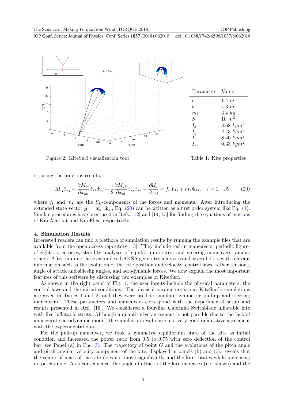<span id="page-8-2"></span>

Figure 2: KiteSurf visualization tool

<span id="page-8-1"></span>Table 1: Kite properties

or, using the previous results,

$$
M_{ij}\ddot{x}_{sj} + \frac{\partial M_{ij}}{\partial x_{sk}} \dot{x}_{sk}\dot{x}_{sj} - \frac{1}{2} \frac{\partial M_{jk}}{\partial x_{si}} \dot{x}_{sj}\dot{x}_{sk} + \frac{\partial U_p}{\partial x_{si}} = f_k \Upsilon_{ki} + m_k \Phi_{ki}, \quad i = 1...5 \tag{20}
$$

where  $f_k$  and  $m_k$  are the  $S_B$ -components of the forces and moments. After introducing the extended state vector  $y = [x_s \ \dot{x}_s]$ , Eq. [\(20\)](#page-8-1) can be written as a first order system like Eq. [\(1\)](#page-4-1). Similar procedures have been used in Refs. [\[12\]](#page-11-11) and [\[14,](#page-11-13) [15\]](#page-11-14) for finding the equations of motions of KiteAcrobat and KiteFlex, respectively.

#### <span id="page-8-0"></span>4. Simulation Results

Interested readers can find a plethora of simulation results by running the example files that are available from the open access repository [\[13\]](#page-11-12). They include reel-in maneuvers, periodic figureof-eight trajectories, stability analyses of equilibrium states, and steering maneuvers, among others. After running these examples, LAKSA generates a movies and several plots with relevant information such as the evolution of the kite position and velocity, control laws, tether tensions, angle of attack and sideslip angles, and aerodynamic forces. We now explain the most important features of this software by discussing two examples of KiteSurf.

As shown in the right panel of Fig. [1,](#page-4-0) the user inputs include the physical parameters, the control laws and the initial conditions. The physical parameters in our KiteSurf's simulations are given in Tables [1](#page-8-2) and [2,](#page-9-1) and they were used to simulate symmetric pull-up and steering maneuvers. These parameters and maneuvers correspond with the experimental setup and results presented in Ref. [\[16\]](#page-11-15). We considered a four-line Cabrinha Swithblade inflatable kite with five inflatable struts. Although a quantitative agreement is not possible due to the lack of an accurate aerodynamic model, the simulation results are in a very good qualitative agreement with the experimental data.

For the pull-up maneuver, we took a symmetric equilibrium state of the kite as initial condition and increased the power ratio from 0.5 to 0.75 with zero deflection of the control bar [see Panel (a) in Fig. [3\]](#page-9-2). The trajectory of point  $G$  and the evolutions of the pitch angle and pitch angular velocity component of the kite, displayed in panels (b) and (c), reveals that the center of mass of the kite does not move significantly and the kite rotates while increasing its pitch angle. As a consequence, the angle of attack of the kite increases (not shown) and the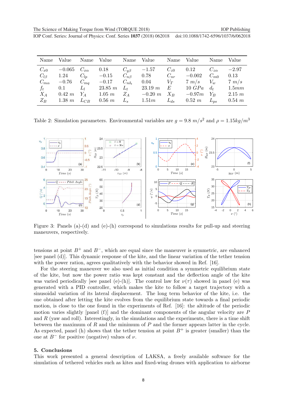<span id="page-9-1"></span>

| Name                                                        | Value                                           | Name                                                              | Value                                                     | Name                                                              | Value                                                   | Name                                        | Value                                                     | Name                                                   | Value                                                 |
|-------------------------------------------------------------|-------------------------------------------------|-------------------------------------------------------------------|-----------------------------------------------------------|-------------------------------------------------------------------|---------------------------------------------------------|---------------------------------------------|-----------------------------------------------------------|--------------------------------------------------------|-------------------------------------------------------|
| $C_{x0}$<br>$C_{l\beta}$<br>$C_{m\alpha}$<br>$f_t$<br>$X_A$ | $-0.065$<br>1.24<br>$-0.76$<br>0.1<br>$0.42\ m$ | $C_{x\alpha}$<br>$C_{lp}$<br>$C_{mq}$<br>$\mathcal{L}_l$<br>$Y_A$ | 0.18<br>$-0.15$<br>$-0.17$<br>$23.85 \; m$<br>$1.05 \; m$ | $C_{u\beta}$<br>$C_{n\beta}$<br>$C_{n\delta_t}$<br>$L_t$<br>$Z_A$ | $-1.57$<br>0.78<br>0.04<br>$23.19 \; m$<br>$-0.20 \; m$ | $C_{z0}$<br>$C_{nr}$<br>$V_T$<br>E<br>$X_B$ | 0.12<br>$-0.002$<br>$7 \; m/s$<br>$10 \; GPa$<br>$-0.97m$ | $C_{z\alpha}$<br>$C_{m0}$<br>$V_w$<br>$d_{t}$<br>$Y_B$ | $-2.97$<br>0.13<br>$7 \; m/s$<br>1.5mm<br>$2.15 \; m$ |
| $Z_B$                                                       | $1.38\ m$                                       | $L_{CB}$                                                          | $0.56\;m$                                                 | $L_s$                                                             | 1.51m                                                   | $L_{ds}$                                    | $0.52 \; m$                                               | $L_{ps}$                                               | $0.54 \; m$                                           |

Table 2: Simulation parameters. Environmental variables are  $g = 9.8 \ m/s^2$  and  $\rho = 1.15 \ kg/m^3$ 

<span id="page-9-2"></span>

Figure 3: Panels (a)-(d) and (e)-(h) correspond to simulations results for pull-up and steering maneuvers, respectively.

tensions at point  $B^+$  and  $B^-$ , which are equal since the maneuver is symmetric, are enhanced [see panel (d)]. This dynamic response of the kite, and the linear variation of the tether tension with the power ration, agrees qualitatively with the behavior showed in Ref. [\[16\]](#page-11-15).

For the steering maneuver we also used as initial condition a symmetric equilibrium state of the kite, but now the power ratio was kept constant and the deflection angle of the kite was varied periodically [see panel (e)-(h)]. The control law for  $\nu(\tau)$  showed in panel (e) was generated with a PID controller, which makes the kite to follow a target trajectory with a sinusoidal variation of its lateral displacement. The long term behavior of the kite, i.e. the one obtained after letting the kite evolves from the equilibrium state towards a final periodic motion, is close to the one found in the experiments of Ref. [\[16\]](#page-11-15): the altitude of the periodic motion varies slightly [panel (f)] and the dominant components of the angular velocity are  $P$ and  $R$  (yaw and roll). Interestingly, in the simulations and the experiments, there is a time shift between the maximum of  $R$  and the minimum of  $P$  and the former appears latter in the cycle. As expected, panel (h) shows that the tether tension at point  $B^+$  is greater (smaller) than the one at  $B^-$  for positive (negative) values of  $\nu$ .

#### <span id="page-9-0"></span>5. Conclusions

This work presented a general description of LAKSA, a freely available software for the simulation of tethered vehicles such as kites and fixed-wing drones with application to airborne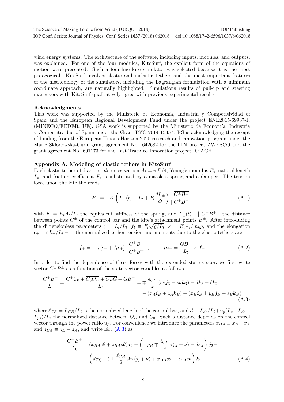**1234567890** ''"" IOP Conf. Series: Journal of Physics: Conf. Series **1037** (2018) 062018 doi :10.1088/1742-6596/1037/6/062018 The Science of Making Torque from Wind (TORQUE 2018) **IOP Publishing** IOP Publishing

wind energy systems. The architecture of the software, including inputs, modules, and outputs, was explained. For one of the four modules, KiteSurf, the explicit form of the equations of motion were presented. Such a four-line kite simulator was selected because it is the most pedagogical. KiteSurf involves elastic and inelastic tethers and the most important features of the methodology of the simulators, including the Lagrangian formulation with a minimum coordinate approach, are naturally highlighted. Simulations results of pull-up and steering maneuvers with KiteSurf qualitatively agree with previous experimental results.

## Acknowledgments

This work was supported by the Ministerio de Economía, Industria y Competitividad of Spain and the European Regional Development Fund under the project ENE2015-69937-R (MINECO/FEDER, UE). GSA work is supported by the Ministerio de Economía, Industria y Competitividad of Spain under the Grant RYC-2014-15357. RS is acknowledging the receipt of funding from the European Unions Horizon 2020 research and innovation program under the Marie Sklodowska-Curie grant agreement No. 642682 for the ITN project AWESCO and the grant agreement No. 691173 for the Fast Track to Innovation project REACH.

## <span id="page-10-0"></span>Appendix A. Modeling of elastic tethers in KiteSurf

Each elastic tether of diameter  $d_t$ , cross section  $A_t = \pi d_t^2/4$ , Young's modulus  $E_t$ , natural length  $L_t$ , and friction coefficient  $F_t$  is substituted by a massless spring and a damper. The tension force upon the kite the reads

$$
\boldsymbol{F}_{\pm} = -K \left( L_{\pm}(t) - L_t + F_t \frac{dL_{\pm}}{dt} \right) \frac{\overline{C^{\pm} B^{\pm}}}{|\overline{C^{\pm} B^{\pm}}|} \tag{A.1}
$$

with  $K = E_t A_t/L_t$  the equivalent stiffness of the spring, and  $L_+(t) \equiv \overline{C^{\pm}B^{\pm}}$  | the distance between points  $C^{\pm}$  of the control bar and the kite's attachment points  $B^{\pm}$ . After introducing the dimensionless parameters  $\zeta = L_l/L_t$ ,  $f_t \equiv F_t \sqrt{g/L_l}$ ,  $\kappa = E_t A_t/m_k g$ , and the elongation  $\epsilon_{\pm} = \zeta L_{\pm}/L_l - 1$ , the normalized tether tension and moments due to the elastic tethers are

<span id="page-10-1"></span>
$$
\mathbf{f}_{\pm} = -\kappa \left[ \epsilon_{\pm} + f_t \dot{\epsilon}_{\pm} \right] \frac{\overline{C^{\pm} B^{\pm}}}{|\overline{C^{\pm} B^{\pm}}|}, \qquad \mathbf{m}_{\pm} = \frac{\overline{G B^{\pm}}}{L_l} \times \mathbf{f}_{\pm}
$$
(A.2)

In order to find the dependence of these forces with the extended state vector, we first write vector  $\overline{C^{\pm}B^{\pm}}$  as a function of the state vector variables as follows

$$
\frac{\overline{C^{\pm}B^{\pm}}}{L_{l}} = \frac{\overline{C^{\pm}C_{0}} + \overline{C_{0}O_{E}} + \overline{O_{E}G} + \overline{GB^{\pm}}}{L_{l}} = \mp \frac{\epsilon_{CB}}{2} \left(c\nu j_{3} + s\nu k_{3}\right) - d k_{3} - \ell k_{2} - \left(x_{A}i_{B} + z_{A}k_{B}\right) + \left(x_{B}i_{B} \pm y_{B}j_{B} + z_{B}k_{B}\right)
$$
\n(A.3)

where  $\ell_{CB} = L_{CB}/L_l$  is the normalized length of the control bar, and  $d \equiv L_{ds}/L_l + u_p(L_s - L_{ds} - L_{ds})$  $L_{ps}/L_l$  the normalized distance between  $O_E$  and  $C_0$ . Such a distance depends on the control vector through the power ratio  $u_p$ . For convenience we introduce the parameters  $x_{BA} \equiv x_B - x_A$ and  $z_{BA} \equiv z_B - z_A$ , and write Eq. [\(A.3\)](#page-10-1) as

$$
\frac{\overline{C^{\pm}B^{\pm}}}{L_0} = (x_{BA}c\theta + z_{BA}s\theta) \mathbf{i}_2 + \left(\pm y_B \mp \frac{\ell_{CB}}{2}c(\chi + \nu) + ds\chi\right)\mathbf{j}_2 -
$$

$$
\left(dc\chi + \ell \pm \frac{\ell_{CB}}{2}\sin(\chi + \nu) + x_{BA}s\theta - z_{BA}c\theta\right)\mathbf{k}_2
$$
(A.4)